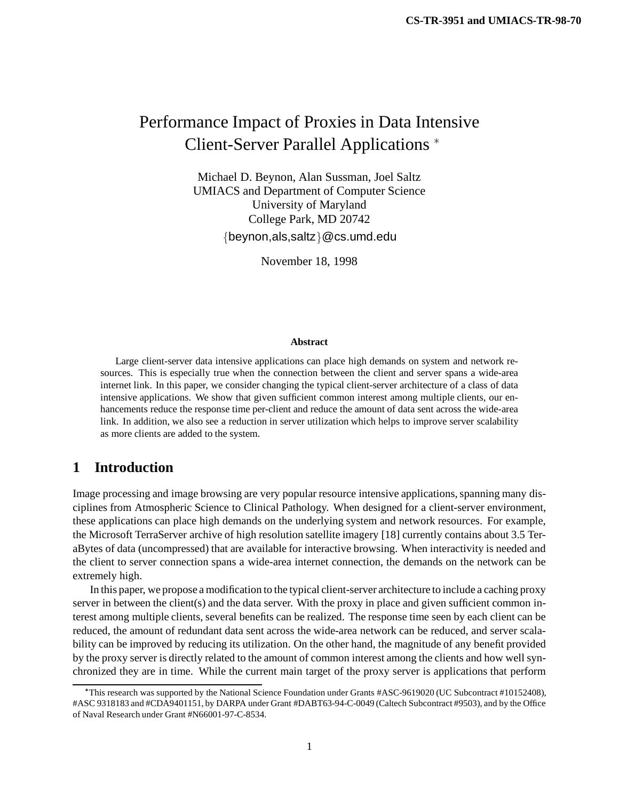# Performance Impact of Proxies in Data Intensive Client-Server Parallel Applications

Michael D. Beynon, Alan Sussman, Joel Saltz UMIACS and Department of Computer Science University of Maryland College Park, MD 20742  $\{beynon,als,saltz\}$ @cs.umd.edu

November 18, 1998

#### **Abstract**

Large client-server data intensive applications can place high demands on system and network resources. This is especially true when the connection between the client and server spans a wide-area internet link. In this paper, we consider changing the typical client-server architecture of a class of data intensive applications. We show that given sufficient common interest among multiple clients, our enhancements reduce the response time per-client and reduce the amount of data sent across the wide-area link. In addition, we also see a reduction in server utilization which helps to improve server scalability as more clients are added to the system.

# **1 Introduction**

Image processing and image browsing are very popular resource intensive applications, spanning many disciplines from Atmospheric Science to Clinical Pathology. When designed for a client-server environment, these applications can place high demands on the underlying system and network resources. For example, the Microsoft TerraServer archive of high resolution satellite imagery [18] currently contains about 3.5 TeraBytes of data (uncompressed) that are available for interactive browsing. When interactivity is needed and the client to server connection spans a wide-area internet connection, the demands on the network can be extremely high.

In this paper, we propose a modification to the typical client-server architecture to include a caching proxy server in between the client(s) and the data server. With the proxy in place and given sufficient common interest among multiple clients, several benefits can be realized. The response time seen by each client can be reduced, the amount of redundant data sent across the wide-area network can be reduced, and server scalability can be improved by reducing its utilization. On the other hand, the magnitude of any benefit provided by the proxy server is directly related to the amount of common interest among the clients and how well synchronized they are in time. While the current main target of the proxy server is applications that perform

This research was supported by the National Science Foundation under Grants #ASC-9619020 (UC Subcontract #10152408), #ASC 9318183 and #CDA9401151, by DARPA under Grant #DABT63-94-C-0049 (Caltech Subcontract #9503), and by the Office of Naval Research under Grant #N66001-97-C-8534.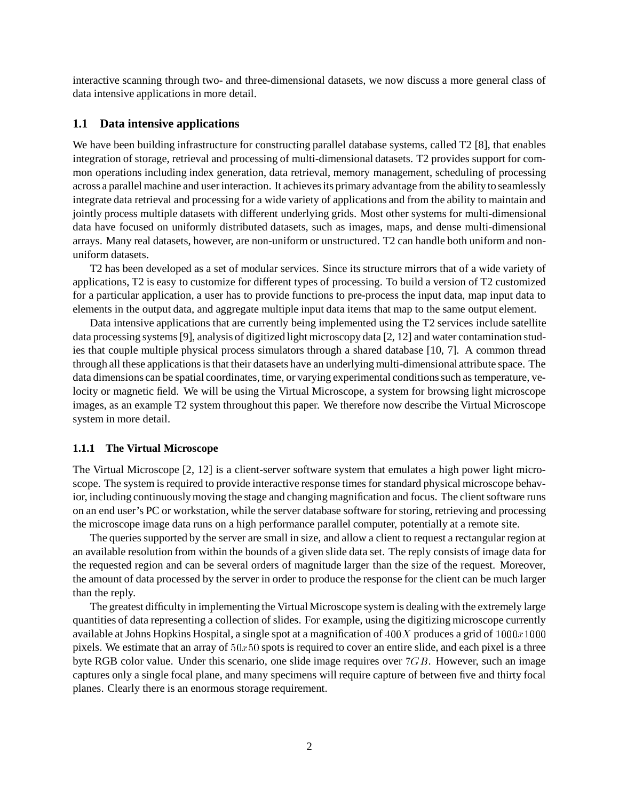interactive scanning through two- and three-dimensional datasets, we now discuss a more general class of data intensive applications in more detail.

#### **1.1 Data intensive applications**

We have been building infrastructure for constructing parallel database systems, called T2 [8], that enables integration of storage, retrieval and processing of multi-dimensional datasets. T2 provides support for common operations including index generation, data retrieval, memory management, scheduling of processing across a parallel machine and user interaction. It achievesits primary advantage from the ability to seamlessly integrate data retrieval and processing for a wide variety of applications and from the ability to maintain and jointly process multiple datasets with different underlying grids. Most other systems for multi-dimensional data have focused on uniformly distributed datasets, such as images, maps, and dense multi-dimensional arrays. Many real datasets, however, are non-uniform or unstructured. T2 can handle both uniform and nonuniform datasets.

T2 has been developed as a set of modular services. Since its structure mirrors that of a wide variety of applications, T2 is easy to customize for different types of processing. To build a version of T2 customized for a particular application, a user has to provide functions to pre-process the input data, map input data to elements in the output data, and aggregate multiple input data items that map to the same output element.

Data intensive applications that are currently being implemented using the T2 services include satellite data processing systems [9], analysis of digitized light microscopy data [2, 12] and water contamination studies that couple multiple physical process simulators through a shared database [10, 7]. A common thread through all these applications is that their datasets have an underlying multi-dimensional attribute space. The data dimensions can be spatial coordinates, time, or varying experimental conditions such as temperature, velocity or magnetic field. We will be using the Virtual Microscope, a system for browsing light microscope images, as an example T2 system throughout this paper. We therefore now describe the Virtual Microscope system in more detail.

#### **1.1.1 The Virtual Microscope**

The Virtual Microscope [2, 12] is a client-server software system that emulates a high power light microscope. The system is required to provide interactive response times for standard physical microscope behavior, including continuously moving the stage and changing magnification and focus. The client software runs on an end user's PC or workstation, while the server database software for storing, retrieving and processing the microscope image data runs on a high performance parallel computer, potentially at a remote site.

The queries supported by the server are small in size, and allow a client to request a rectangular region at an available resolution from within the bounds of a given slide data set. The reply consists of image data for the requested region and can be several orders of magnitude larger than the size of the request. Moreover, the amount of data processed by the server in order to produce the response for the client can be much larger than the reply.

The greatest difficulty in implementing the Virtual Microscope system is dealing with the extremely large quantities of data representing a collection of slides. For example, using the digitizing microscope currently available at Johns Hopkins Hospital, a single spot at a magnification of  $400X$  produces a grid of  $1000x1000$ pixels. We estimate that an array of  $50x50$  spots is required to cover an entire slide, and each pixel is a three byte RGB color value. Under this scenario, one slide image requires over  $7GB$ . However, such an image captures only a single focal plane, and many specimens will require capture of between five and thirty focal planes. Clearly there is an enormous storage requirement.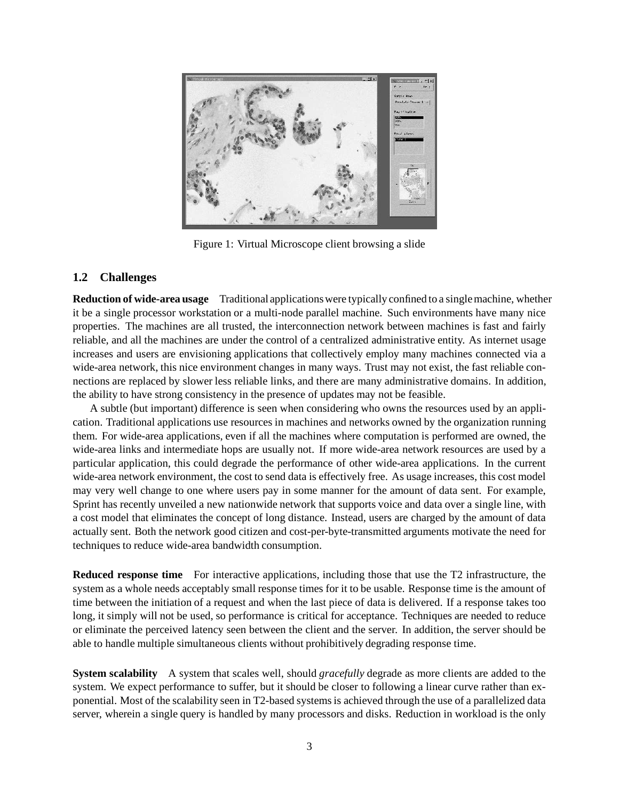

Figure 1: Virtual Microscope client browsing a slide

### **1.2 Challenges**

**Reduction of wide-area usage** Traditional applicationswere typically confined to a single machine, whether it be a single processor workstation or a multi-node parallel machine. Such environments have many nice properties. The machines are all trusted, the interconnection network between machines is fast and fairly reliable, and all the machines are under the control of a centralized administrative entity. As internet usage increases and users are envisioning applications that collectively employ many machines connected via a wide-area network, this nice environment changes in many ways. Trust may not exist, the fast reliable connections are replaced by slower less reliable links, and there are many administrative domains. In addition, the ability to have strong consistency in the presence of updates may not be feasible.

A subtle (but important) difference is seen when considering who owns the resources used by an application. Traditional applications use resources in machines and networks owned by the organization running them. For wide-area applications, even if all the machines where computation is performed are owned, the wide-area links and intermediate hops are usually not. If more wide-area network resources are used by a particular application, this could degrade the performance of other wide-area applications. In the current wide-area network environment, the cost to send data is effectively free. As usage increases, this cost model may very well change to one where users pay in some manner for the amount of data sent. For example, Sprint has recently unveiled a new nationwide network that supports voice and data over a single line, with a cost model that eliminates the concept of long distance. Instead, users are charged by the amount of data actually sent. Both the network good citizen and cost-per-byte-transmitted arguments motivate the need for techniques to reduce wide-area bandwidth consumption.

**Reduced response time** For interactive applications, including those that use the T2 infrastructure, the system as a whole needs acceptably small response times for it to be usable. Response time is the amount of time between the initiation of a request and when the last piece of data is delivered. If a response takes too long, it simply will not be used, so performance is critical for acceptance. Techniques are needed to reduce or eliminate the perceived latency seen between the client and the server. In addition, the server should be able to handle multiple simultaneous clients without prohibitively degrading response time.

**System scalability** A system that scales well, should *gracefully* degrade as more clients are added to the system. We expect performance to suffer, but it should be closer to following a linear curve rather than exponential. Most of the scalability seen in T2-based systemsis achieved through the use of a parallelized data server, wherein a single query is handled by many processors and disks. Reduction in workload is the only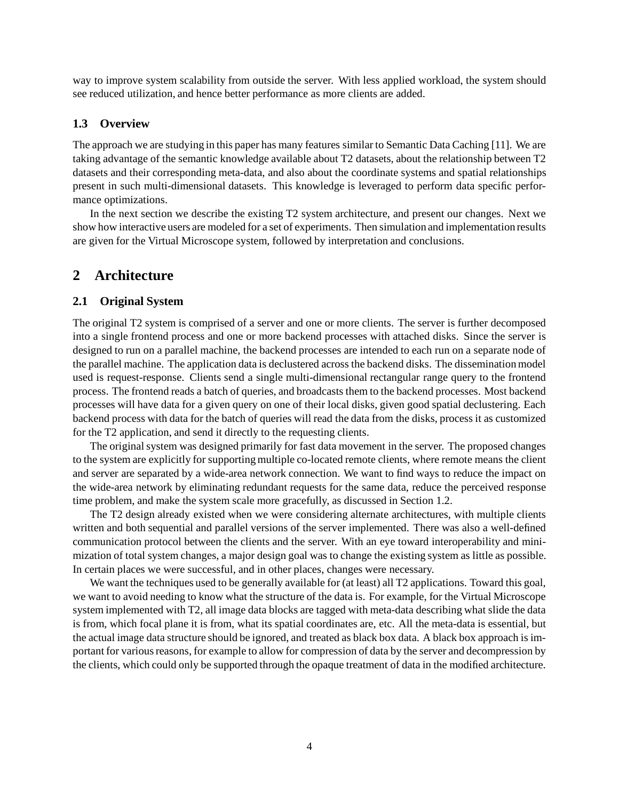way to improve system scalability from outside the server. With less applied workload, the system should see reduced utilization, and hence better performance as more clients are added.

#### **1.3 Overview**

The approach we are studying in this paper has many features similar to Semantic Data Caching [11]. We are taking advantage of the semantic knowledge available about T2 datasets, about the relationship between T2 datasets and their corresponding meta-data, and also about the coordinate systems and spatial relationships present in such multi-dimensional datasets. This knowledge is leveraged to perform data specific performance optimizations.

In the next section we describe the existing T2 system architecture, and present our changes. Next we show how interactive users are modeled for a set of experiments. Then simulation and implementation results are given for the Virtual Microscope system, followed by interpretation and conclusions.

## **2 Architecture**

#### **2.1 Original System**

The original T2 system is comprised of a server and one or more clients. The server is further decomposed into a single frontend process and one or more backend processes with attached disks. Since the server is designed to run on a parallel machine, the backend processes are intended to each run on a separate node of the parallel machine. The application data is declustered across the backend disks. The dissemination model used is request-response. Clients send a single multi-dimensional rectangular range query to the frontend process. The frontend reads a batch of queries, and broadcasts them to the backend processes. Most backend processes will have data for a given query on one of their local disks, given good spatial declustering. Each backend process with data for the batch of queries will read the data from the disks, process it as customized for the T2 application, and send it directly to the requesting clients.

The original system was designed primarily for fast data movement in the server. The proposed changes to the system are explicitly for supporting multiple co-located remote clients, where remote means the client and server are separated by a wide-area network connection. We want to find ways to reduce the impact on the wide-area network by eliminating redundant requests for the same data, reduce the perceived response time problem, and make the system scale more gracefully, as discussed in Section 1.2.

The T2 design already existed when we were considering alternate architectures, with multiple clients written and both sequential and parallel versions of the server implemented. There was also a well-defined communication protocol between the clients and the server. With an eye toward interoperability and minimization of total system changes, a major design goal was to change the existing system as little as possible. In certain places we were successful, and in other places, changes were necessary.

We want the techniques used to be generally available for (at least) all T2 applications. Toward this goal, we want to avoid needing to know what the structure of the data is. For example, for the Virtual Microscope system implemented with T2, all image data blocks are tagged with meta-data describing what slide the data is from, which focal plane it is from, what its spatial coordinates are, etc. All the meta-data is essential, but the actual image data structure should be ignored, and treated as black box data. A black box approach is important for various reasons, for example to allow for compression of data by the server and decompression by the clients, which could only be supported through the opaque treatment of data in the modified architecture.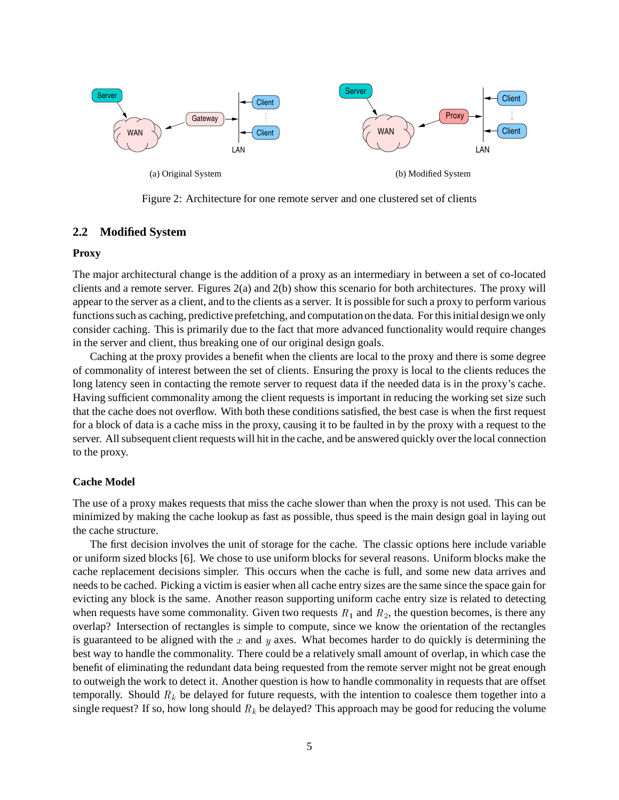

Figure 2: Architecture for one remote server and one clustered set of clients

#### **2.2 Modified System**

#### **Proxy**

The major architectural change is the addition of a proxy as an intermediary in between a set of co-located clients and a remote server. Figures 2(a) and 2(b) show this scenario for both architectures. The proxy will appear to the server as a client, and to the clients as a server. It is possible for such a proxy to perform various functions such as caching, predictive prefetching, and computation on the data. For this initial design we only consider caching. This is primarily due to the fact that more advanced functionality would require changes in the server and client, thus breaking one of our original design goals.

Caching at the proxy provides a benefit when the clients are local to the proxy and there is some degree of commonality of interest between the set of clients. Ensuring the proxy is local to the clients reduces the long latency seen in contacting the remote server to request data if the needed data is in the proxy's cache. Having sufficient commonality among the client requests is important in reducing the working set size such that the cache does not overflow. With both these conditions satisfied, the best case is when the first request for a block of data is a cache miss in the proxy, causing it to be faulted in by the proxy with a request to the server. All subsequent client requests will hit in the cache, and be answered quickly over the local connection to the proxy.

#### **Cache Model**

The use of a proxy makes requests that miss the cache slower than when the proxy is not used. This can be minimized by making the cache lookup as fast as possible, thus speed is the main design goal in laying out the cache structure.

The first decision involves the unit of storage for the cache. The classic options here include variable or uniform sized blocks [6]. We chose to use uniform blocks for several reasons. Uniform blocks make the cache replacement decisions simpler. This occurs when the cache is full, and some new data arrives and needs to be cached. Picking a victim is easier when all cache entry sizes are the same since the space gain for evicting any block is the same. Another reason supporting uniform cache entry size is related to detecting when requests have some commonality. Given two requests  $R_1$  and  $R_2$ , the question becomes, is there any overlap? Intersection of rectangles is simple to compute, since we know the orientation of the rectangles is guaranteed to be aligned with the  $x$  and  $y$  axes. What becomes harder to do quickly is determining the best way to handle the commonality. There could be a relatively small amount of overlap, in which case the benefit of eliminating the redundant data being requested from the remote server might not be great enough to outweigh the work to detect it. Another question is how to handle commonality in requests that are offset temporally. Should  $R_k$  be delayed for future requests, with the intention to coalesce them together into a single request? If so, how long should  $R_k$  be delayed? This approach may be good for reducing the volume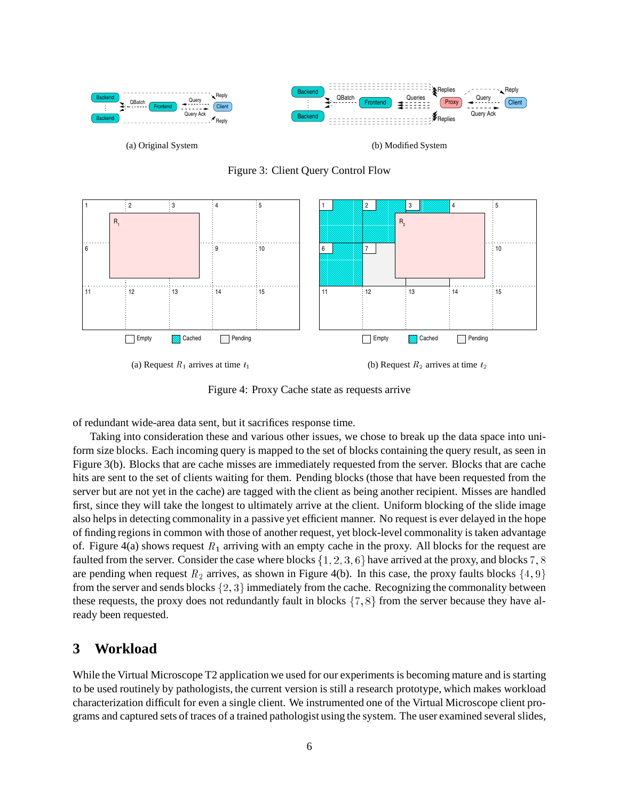



Figure 3: Client Query Control Flow

Figure 4: Proxy Cache state as requests arrive

of redundant wide-area data sent, but it sacrifices response time.

Taking into consideration these and various other issues, we chose to break up the data space into uniform size blocks. Each incoming query is mapped to the set of blocks containing the query result, as seen in Figure 3(b). Blocks that are cache misses are immediately requested from the server. Blocks that are cache hits are sent to the set of clients waiting for them. Pending blocks (those that have been requested from the server but are not yet in the cache) are tagged with the client as being another recipient. Misses are handled first, since they will take the longest to ultimately arrive at the client. Uniform blocking of the slide image also helps in detecting commonality in a passive yet efficient manner. No request is ever delayed in the hope of finding regions in common with those of another request, yet block-level commonality is taken advantage of. Figure 4(a) shows request  $R_1$  arriving with an empty cache in the proxy. All blocks for the request are faulted from the server. Consider the case where blocks  $\{1, 2, 3, 6\}$  have arrived at the proxy, and blocks  $7, 8$ are pending when request  $R_2$  arrives, as shown in Figure 4(b). In this case, the proxy faults blocks  $\{4, 9\}$ from the server and sends blocks  $\{2,3\}$  immediately from the cache. Recognizing the commonality between these requests, the proxy does not redundantly fault in blocks  $\{7, 8\}$  from the server because they have already been requested.

# **3 Workload**

While the Virtual Microscope T2 application we used for our experiments is becoming mature and is starting to be used routinely by pathologists, the current version is still a research prototype, which makes workload characterization difficult for even a single client. We instrumented one of the Virtual Microscope client programs and captured sets of traces of a trained pathologist using the system. The user examined several slides,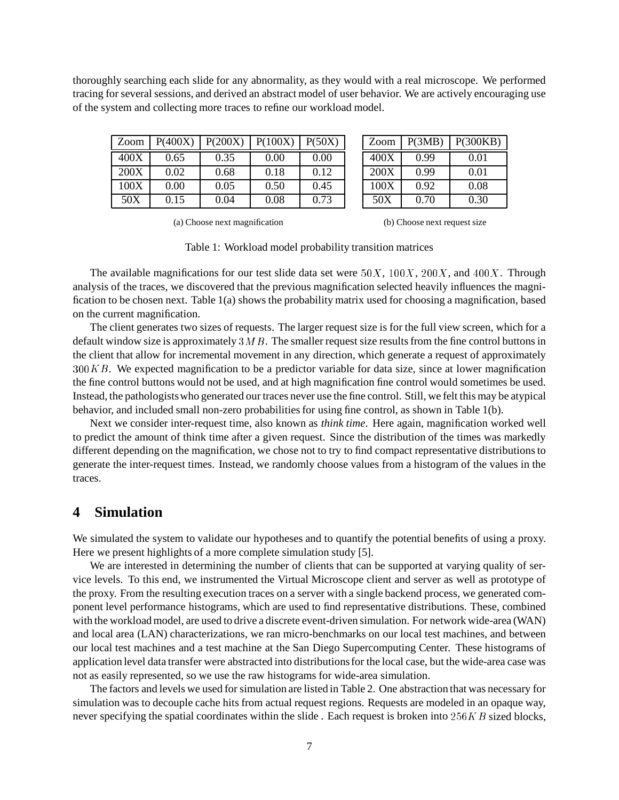thoroughly searching each slide for any abnormality, as they would with a real microscope. We performed tracing for several sessions, and derived an abstract model of user behavior. We are actively encouraging use of the system and collecting more traces to refine our workload model.

| Zoom | P(400X)  | P(200X) | P(100X) | P(50X) | Zoom | P(3MB) | P(300KB) |
|------|----------|---------|---------|--------|------|--------|----------|
| 400X | 0.65     | 0.35    | 0.00    | 0.00   | 400X | 0.99   | 0.01     |
| 200X | 0.02     | 0.68    | 0.18    | 0.12   | 200X | 0.99   | 0.01     |
| 100X | $0.00\,$ | 0.05    | 0.50    | 0.45   | 100X | 0.92   | 0.08     |
| 50X  | 0.15     | 0.04    | 0.08    | 0.73   | 50X  | 0.70   | 0.30     |

(a) Choose next magnification

(b) Choose next request size

Table 1: Workload model probability transition matrices

The available magnifications for our test slide data set were  $50X$ ,  $100X$ ,  $200X$ , and  $400X$ . Through analysis of the traces, we discovered that the previous magnification selected heavily influences the magnification to be chosen next. Table 1(a) shows the probability matrix used for choosing a magnification, based on the current magnification.

The client generates two sizes of requests. The larger request size is for the full view screen, which for a default window size is approximately  $3MB$ . The smaller request size results from the fine control buttons in the client that allow for incremental movement in any direction, which generate a request of approximately  $300KB$ . We expected magnification to be a predictor variable for data size, since at lower magnification the fine control buttons would not be used, and at high magnification fine control would sometimes be used. Instead, the pathologistswho generated our traces never use the fine control. Still, we felt this may be atypical behavior, and included small non-zero probabilities for using fine control, as shown in Table 1(b).

Next we consider inter-request time, also known as *think time*. Here again, magnification worked well to predict the amount of think time after a given request. Since the distribution of the times was markedly different depending on the magnification, we chose not to try to find compact representative distributions to generate the inter-request times. Instead, we randomly choose values from a histogram of the values in the traces.

### **4 Simulation**

We simulated the system to validate our hypotheses and to quantify the potential benefits of using a proxy. Here we present highlights of a more complete simulation study [5].

We are interested in determining the number of clients that can be supported at varying quality of service levels. To this end, we instrumented the Virtual Microscope client and server as well as prototype of the proxy. From the resulting execution traces on a server with a single backend process, we generated component level performance histograms, which are used to find representative distributions. These, combined with the workload model, are used to drive a discrete event-driven simulation. For network wide-area (WAN) and local area (LAN) characterizations, we ran micro-benchmarks on our local test machines, and between our local test machines and a test machine at the San Diego Supercomputing Center. These histograms of application level data transfer were abstracted into distributionsfor the local case, but the wide-area case was not as easily represented, so we use the raw histograms for wide-area simulation.

The factors and levels we used for simulation are listed in Table 2. One abstraction that was necessary for simulation was to decouple cache hits from actual request regions. Requests are modeled in an opaque way, never specifying the spatial coordinates within the slide. Each request is broken into  $256KB$  sized blocks,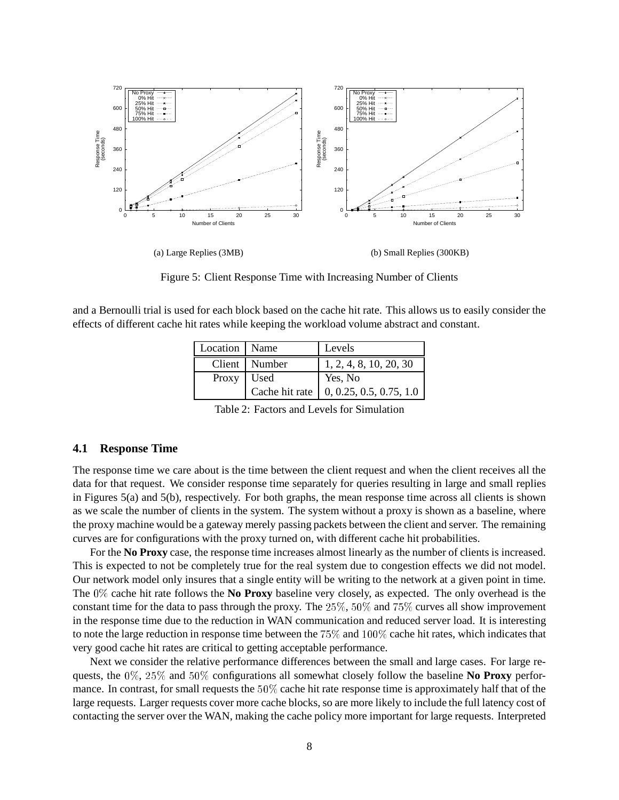

Figure 5: Client Response Time with Increasing Number of Clients

and a Bernoulli trial is used for each block based on the cache hit rate. This allows us to easily consider the effects of different cache hit rates while keeping the workload volume abstract and constant.

| Location Name |                | Levels                          |
|---------------|----------------|---------------------------------|
|               | Client Number  | 1, 2, 4, 8, 10, 20, 30          |
| Proxy Used    |                | Yes, No                         |
|               | Cache hit rate | $\vert$ 0, 0.25, 0.5, 0.75, 1.0 |

Table 2: Factors and Levels for Simulation

#### **4.1 Response Time**

The response time we care about is the time between the client request and when the client receives all the data for that request. We consider response time separately for queries resulting in large and small replies in Figures 5(a) and 5(b), respectively. For both graphs, the mean response time across all clients is shown as we scale the number of clients in the system. The system without a proxy is shown as a baseline, where the proxy machine would be a gateway merely passing packets between the client and server. The remaining curves are for configurations with the proxy turned on, with different cache hit probabilities.

For the **No Proxy** case, the response time increases almost linearly as the number of clients is increased. This is expected to not be completely true for the real system due to congestion effects we did not model. Our network model only insures that a single entity will be writing to the network at a given point in time. The 0% cache hit rate follows the **No Proxy** baseline very closely, as expected. The only overhead is the constant time for the data to pass through the proxy. The  $25\%$ ,  $50\%$  and  $75\%$  curves all show improvement in the response time due to the reduction in WAN communication and reduced server load. It is interesting to note the large reduction in response time between the  $75\%$  and  $100\%$  cache hit rates, which indicates that very good cache hit rates are critical to getting acceptable performance.

Next we consider the relative performance differences between the small and large cases. For large requests, the 0%, 25% and 50% configurations all somewhat closely follow the baseline **No Proxy** performance. In contrast, for small requests the 50% cache hit rate response time is approximately half that of the large requests. Larger requests cover more cache blocks, so are more likely to include the full latency cost of contacting the server over the WAN, making the cache policy more important for large requests. Interpreted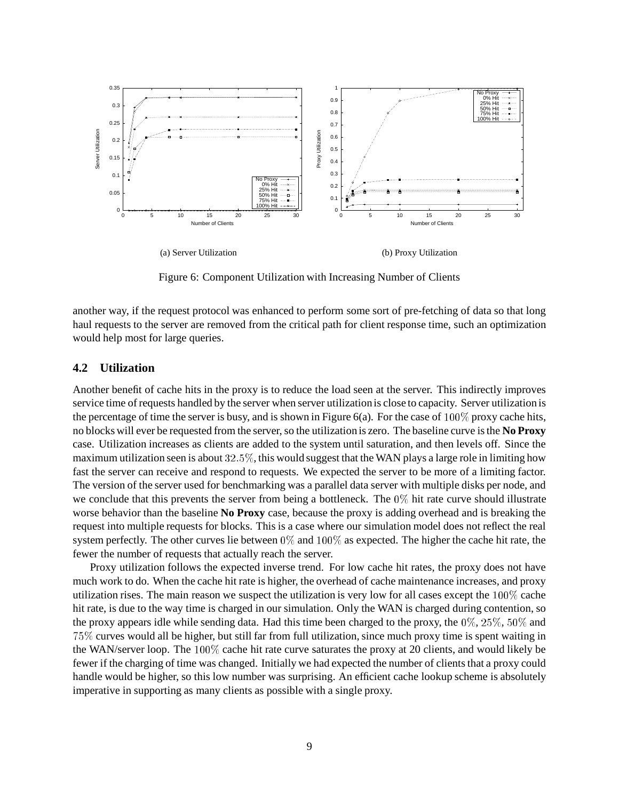

Figure 6: Component Utilization with Increasing Number of Clients

another way, if the request protocol was enhanced to perform some sort of pre-fetching of data so that long haul requests to the server are removed from the critical path for client response time, such an optimization would help most for large queries.

#### **4.2 Utilization**

Another benefit of cache hits in the proxy is to reduce the load seen at the server. This indirectly improves service time of requests handled by the server when server utilization is close to capacity. Server utilization is the percentage of time the server is busy, and is shown in Figure 6(a). For the case of  $100\%$  proxy cache hits, no blocks will ever be requested from the server, so the utilization is zero. The baseline curve is the **No Proxy** case. Utilization increases as clients are added to the system until saturation, and then levels off. Since the maximum utilization seen is about 32:5%, this would suggest that the WAN plays a large role in limiting how fast the server can receive and respond to requests. We expected the server to be more of a limiting factor. The version of the server used for benchmarking was a parallel data server with multiple disks per node, and we conclude that this prevents the server from being a bottleneck. The  $0\%$  hit rate curve should illustrate worse behavior than the baseline **No Proxy** case, because the proxy is adding overhead and is breaking the request into multiple requests for blocks. This is a case where our simulation model does not reflect the real system perfectly. The other curves lie between  $0\%$  and  $100\%$  as expected. The higher the cache hit rate, the fewer the number of requests that actually reach the server.

Proxy utilization follows the expected inverse trend. For low cache hit rates, the proxy does not have much work to do. When the cache hit rate is higher, the overhead of cache maintenance increases, and proxy utilization rises. The main reason we suspect the utilization is very low for all cases except the  $100\%$  cache hit rate, is due to the way time is charged in our simulation. Only the WAN is charged during contention, so the proxy appears idle while sending data. Had this time been charged to the proxy, the 0%, 25%, 50% and 75% curves would all be higher, but still far from full utilization, since much proxy time is spent waiting in the WAN/server loop. The 100% cache hit rate curve saturates the proxy at 20 clients, and would likely be fewer if the charging of time was changed. Initially we had expected the number of clients that a proxy could handle would be higher, so this low number was surprising. An efficient cache lookup scheme is absolutely imperative in supporting as many clients as possible with a single proxy.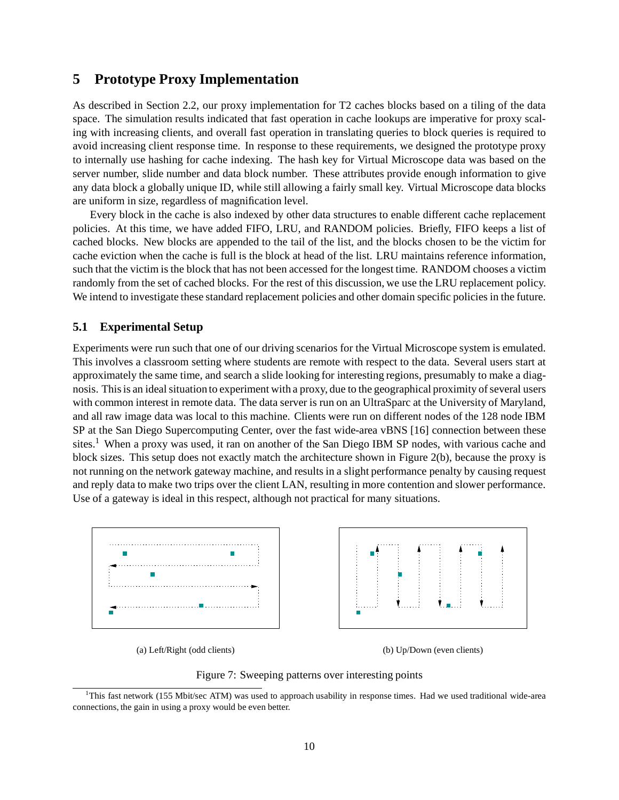# **5 Prototype Proxy Implementation**

As described in Section 2.2, our proxy implementation for T2 caches blocks based on a tiling of the data space. The simulation results indicated that fast operation in cache lookups are imperative for proxy scaling with increasing clients, and overall fast operation in translating queries to block queries is required to avoid increasing client response time. In response to these requirements, we designed the prototype proxy to internally use hashing for cache indexing. The hash key for Virtual Microscope data was based on the server number, slide number and data block number. These attributes provide enough information to give any data block a globally unique ID, while still allowing a fairly small key. Virtual Microscope data blocks are uniform in size, regardless of magnification level.

Every block in the cache is also indexed by other data structures to enable different cache replacement policies. At this time, we have added FIFO, LRU, and RANDOM policies. Briefly, FIFO keeps a list of cached blocks. New blocks are appended to the tail of the list, and the blocks chosen to be the victim for cache eviction when the cache is full is the block at head of the list. LRU maintains reference information, such that the victim is the block that has not been accessed for the longest time. RANDOM chooses a victim randomly from the set of cached blocks. For the rest of this discussion, we use the LRU replacement policy. We intend to investigate these standard replacement policies and other domain specific policies in the future.

#### **5.1 Experimental Setup**

Experiments were run such that one of our driving scenarios for the Virtual Microscope system is emulated. This involves a classroom setting where students are remote with respect to the data. Several users start at approximately the same time, and search a slide looking for interesting regions, presumably to make a diagnosis. This is an ideal situation to experiment with a proxy, due to the geographical proximity of several users with common interest in remote data. The data server is run on an UltraSparc at the University of Maryland, and all raw image data was local to this machine. Clients were run on different nodes of the 128 node IBM SP at the San Diego Supercomputing Center, over the fast wide-area vBNS [16] connection between these sites.<sup>1</sup> When a proxy was used, it ran on another of the San Diego IBM SP nodes, with various cache and block sizes. This setup does not exactly match the architecture shown in Figure 2(b), because the proxy is not running on the network gateway machine, and results in a slight performance penalty by causing request and reply data to make two trips over the client LAN, resulting in more contention and slower performance. Use of a gateway is ideal in this respect, although not practical for many situations.



(a) Left/Right (odd clients) (b) Up/Down (even clients)



<sup>&</sup>lt;sup>1</sup>This fast network (155 Mbit/sec ATM) was used to approach usability in response times. Had we used traditional wide-area connections, the gain in using a proxy would be even better.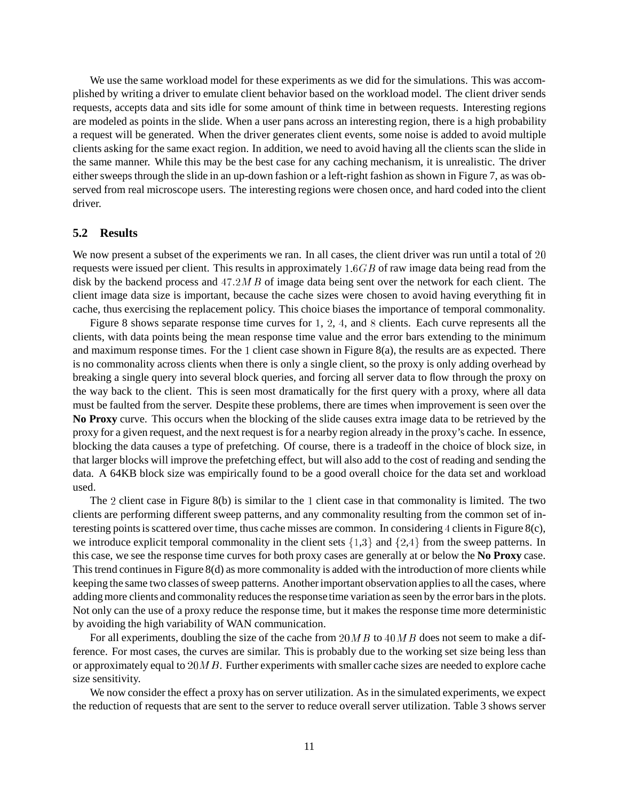We use the same workload model for these experiments as we did for the simulations. This was accomplished by writing a driver to emulate client behavior based on the workload model. The client driver sends requests, accepts data and sits idle for some amount of think time in between requests. Interesting regions are modeled as points in the slide. When a user pans across an interesting region, there is a high probability a request will be generated. When the driver generates client events, some noise is added to avoid multiple clients asking for the same exact region. In addition, we need to avoid having all the clients scan the slide in the same manner. While this may be the best case for any caching mechanism, it is unrealistic. The driver either sweeps through the slide in an up-down fashion or a left-right fashion as shown in Figure 7, as was observed from real microscope users. The interesting regions were chosen once, and hard coded into the client driver.

#### **5.2 Results**

We now present a subset of the experiments we ran. In all cases, the client driver was run until a total of 20 requests were issued per client. This results in approximately  $1.6GB$  of raw image data being read from the disk by the backend process and  $47.2MB$  of image data being sent over the network for each client. The client image data size is important, because the cache sizes were chosen to avoid having everything fit in cache, thus exercising the replacement policy. This choice biases the importance of temporal commonality.

Figure 8 shows separate response time curves for <sup>1</sup>, <sup>2</sup>, <sup>4</sup>, and <sup>8</sup> clients. Each curve represents all the clients, with data points being the mean response time value and the error bars extending to the minimum and maximum response times. For the 1 client case shown in Figure 8(a), the results are as expected. There is no commonality across clients when there is only a single client, so the proxy is only adding overhead by breaking a single query into several block queries, and forcing all server data to flow through the proxy on the way back to the client. This is seen most dramatically for the first query with a proxy, where all data must be faulted from the server. Despite these problems, there are times when improvement is seen over the **No Proxy** curve. This occurs when the blocking of the slide causes extra image data to be retrieved by the proxy for a given request, and the next request is for a nearby region already in the proxy's cache. In essence, blocking the data causes a type of prefetching. Of course, there is a tradeoff in the choice of block size, in that larger blocks will improve the prefetching effect, but will also add to the cost of reading and sending the data. A 64KB block size was empirically found to be a good overall choice for the data set and workload used.

The <sup>2</sup> client case in Figure 8(b) is similar to the <sup>1</sup> client case in that commonality is limited. The two clients are performing different sweep patterns, and any commonality resulting from the common set of interesting points is scattered over time, thus cache misses are common. In considering <sup>4</sup> clients in Figure 8(c), we introduce explicit temporal commonality in the client sets  $\{1,3\}$  and  $\{2,4\}$  from the sweep patterns. In this case, we see the response time curves for both proxy cases are generally at or below the **No Proxy** case. This trend continues in Figure 8(d) as more commonality is added with the introduction of more clients while keeping the same two classes of sweep patterns. Another important observation applies to all the cases, where adding more clients and commonality reduces the response time variation as seen by the error bars in the plots. Not only can the use of a proxy reduce the response time, but it makes the response time more deterministic by avoiding the high variability of WAN communication.

For all experiments, doubling the size of the cache from  $20MB$  to  $40MB$  does not seem to make a difference. For most cases, the curves are similar. This is probably due to the working set size being less than or approximately equal to  $20MB$ . Further experiments with smaller cache sizes are needed to explore cache size sensitivity.

We now consider the effect a proxy has on server utilization. As in the simulated experiments, we expect the reduction of requests that are sent to the server to reduce overall server utilization. Table 3 shows server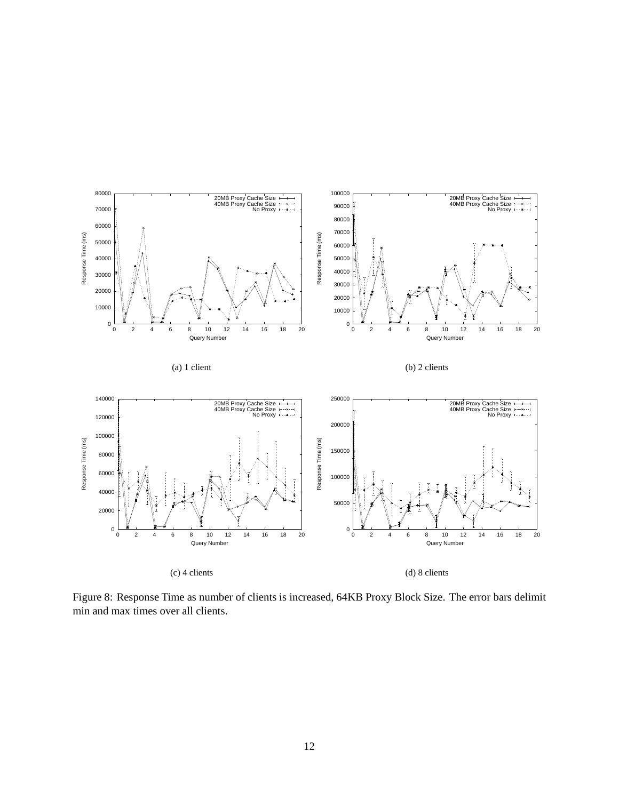

Figure 8: Response Time as number of clients is increased, 64KB Proxy Block Size. The error bars delimit min and max times over all clients.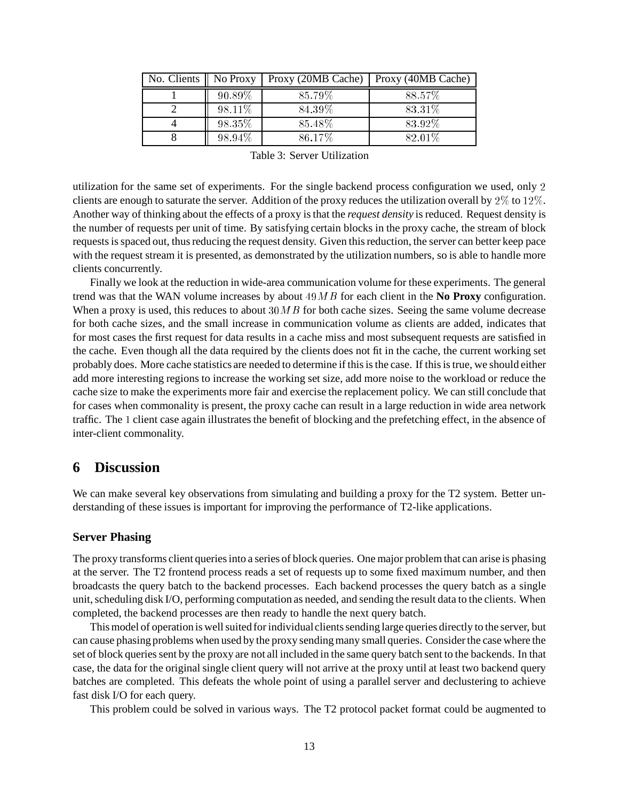| No. Clients    No Proxy |         | Proxy (20MB Cache) | Proxy (40MB Cache) |
|-------------------------|---------|--------------------|--------------------|
|                         | 90.89%  | 85.79%             | 88.57%             |
|                         | 98.11\% | 84.39%             | 83.31\%            |
|                         | 98.35%  | 85.48%             | 83.92%             |
|                         | 98.94%  | 86.17%             | 82.01\%            |

Table 3: Server Utilization

utilization for the same set of experiments. For the single backend process configuration we used, only <sup>2</sup> clients are enough to saturate the server. Addition of the proxy reduces the utilization overall by 2% to 12%. Another way of thinking about the effects of a proxy is that the *request density* is reduced. Request density is the number of requests per unit of time. By satisfying certain blocks in the proxy cache, the stream of block requests is spaced out, thus reducing the request density. Given this reduction, the server can better keep pace with the request stream it is presented, as demonstrated by the utilization numbers, so is able to handle more clients concurrently.

Finally we look at the reduction in wide-area communication volume for these experiments. The general trend was that the WAN volume increases by about 49MB for each client in the **No Proxy** configuration. When a proxy is used, this reduces to about  $30MB$  for both cache sizes. Seeing the same volume decrease for both cache sizes, and the small increase in communication volume as clients are added, indicates that for most cases the first request for data results in a cache miss and most subsequent requests are satisfied in the cache. Even though all the data required by the clients does not fit in the cache, the current working set probably does. More cache statistics are needed to determine if this is the case. If this is true, we should either add more interesting regions to increase the working set size, add more noise to the workload or reduce the cache size to make the experiments more fair and exercise the replacement policy. We can still conclude that for cases when commonality is present, the proxy cache can result in a large reduction in wide area network traffic. The <sup>1</sup> client case again illustrates the benefit of blocking and the prefetching effect, in the absence of inter-client commonality.

# **6 Discussion**

We can make several key observations from simulating and building a proxy for the T2 system. Better understanding of these issues is important for improving the performance of T2-like applications.

#### **Server Phasing**

The proxy transforms client queries into a series of block queries. One major problem that can arise is phasing at the server. The T2 frontend process reads a set of requests up to some fixed maximum number, and then broadcasts the query batch to the backend processes. Each backend processes the query batch as a single unit, scheduling disk I/O, performing computation as needed, and sending the result data to the clients. When completed, the backend processes are then ready to handle the next query batch.

This model of operation is well suited for individualclients sending large queries directly to the server, but can cause phasing problems when used by the proxy sending many small queries. Consider the case where the set of block queries sent by the proxy are not all included in the same query batch sent to the backends. In that case, the data for the original single client query will not arrive at the proxy until at least two backend query batches are completed. This defeats the whole point of using a parallel server and declustering to achieve fast disk I/O for each query.

This problem could be solved in various ways. The T2 protocol packet format could be augmented to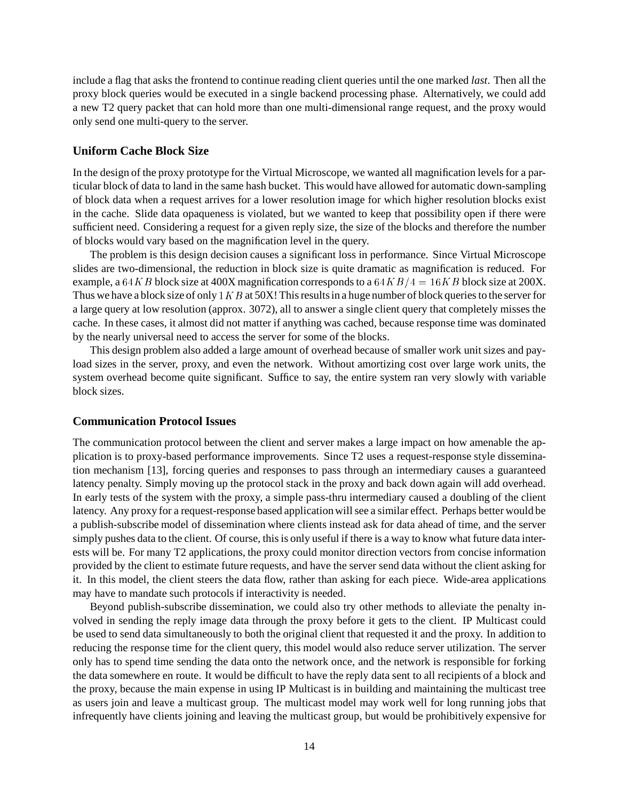include a flag that asks the frontend to continue reading client queries until the one marked *last*. Then all the proxy block queries would be executed in a single backend processing phase. Alternatively, we could add a new T2 query packet that can hold more than one multi-dimensional range request, and the proxy would only send one multi-query to the server.

#### **Uniform Cache Block Size**

In the design of the proxy prototype for the Virtual Microscope, we wanted all magnification levels for a particular block of data to land in the same hash bucket. This would have allowed for automatic down-sampling of block data when a request arrives for a lower resolution image for which higher resolution blocks exist in the cache. Slide data opaqueness is violated, but we wanted to keep that possibility open if there were sufficient need. Considering a request for a given reply size, the size of the blocks and therefore the number of blocks would vary based on the magnification level in the query.

The problem is this design decision causes a significant loss in performance. Since Virtual Microscope slides are two-dimensional, the reduction in block size is quite dramatic as magnification is reduced. For example, a 64KB block size at 400X magnification corresponds to a 64KB/4 = 16KB block size at 200X. Thus we have a block size of only  $1KB$  at 50X! This results in a huge number of block queries to the server for a large query at low resolution (approx. 3072), all to answer a single client query that completely misses the cache. In these cases, it almost did not matter if anything was cached, because response time was dominated by the nearly universal need to access the server for some of the blocks.

This design problem also added a large amount of overhead because of smaller work unit sizes and payload sizes in the server, proxy, and even the network. Without amortizing cost over large work units, the system overhead become quite significant. Suffice to say, the entire system ran very slowly with variable block sizes.

#### **Communication Protocol Issues**

The communication protocol between the client and server makes a large impact on how amenable the application is to proxy-based performance improvements. Since T2 uses a request-response style dissemination mechanism [13], forcing queries and responses to pass through an intermediary causes a guaranteed latency penalty. Simply moving up the protocol stack in the proxy and back down again will add overhead. In early tests of the system with the proxy, a simple pass-thru intermediary caused a doubling of the client latency. Any proxy for a request-response based application will see a similar effect. Perhaps better would be a publish-subscribe model of dissemination where clients instead ask for data ahead of time, and the server simply pushes data to the client. Of course, this is only useful if there is a way to know what future data interests will be. For many T2 applications, the proxy could monitor direction vectors from concise information provided by the client to estimate future requests, and have the server send data without the client asking for it. In this model, the client steers the data flow, rather than asking for each piece. Wide-area applications may have to mandate such protocols if interactivity is needed.

Beyond publish-subscribe dissemination, we could also try other methods to alleviate the penalty involved in sending the reply image data through the proxy before it gets to the client. IP Multicast could be used to send data simultaneously to both the original client that requested it and the proxy. In addition to reducing the response time for the client query, this model would also reduce server utilization. The server only has to spend time sending the data onto the network once, and the network is responsible for forking the data somewhere en route. It would be difficult to have the reply data sent to all recipients of a block and the proxy, because the main expense in using IP Multicast is in building and maintaining the multicast tree as users join and leave a multicast group. The multicast model may work well for long running jobs that infrequently have clients joining and leaving the multicast group, but would be prohibitively expensive for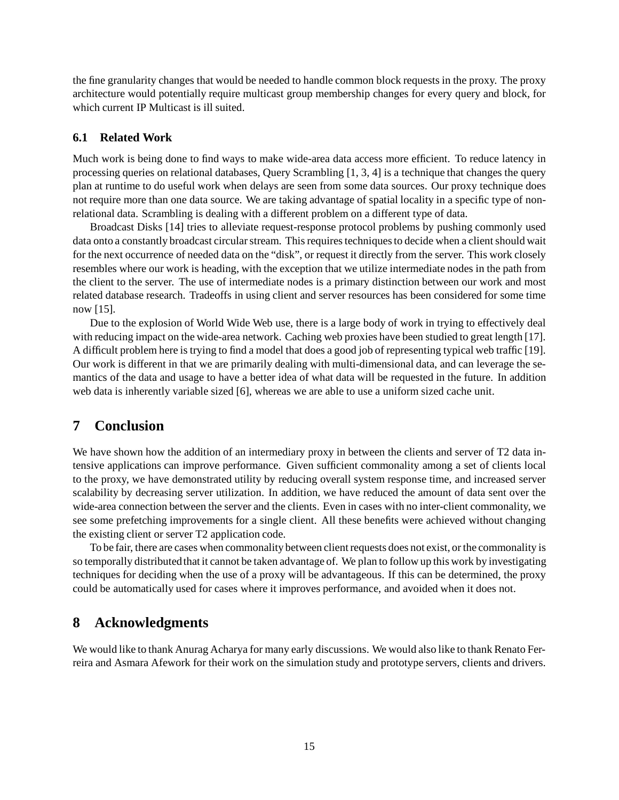the fine granularity changes that would be needed to handle common block requests in the proxy. The proxy architecture would potentially require multicast group membership changes for every query and block, for which current IP Multicast is ill suited.

#### **6.1 Related Work**

Much work is being done to find ways to make wide-area data access more efficient. To reduce latency in processing queries on relational databases, Query Scrambling [1, 3, 4] is a technique that changes the query plan at runtime to do useful work when delays are seen from some data sources. Our proxy technique does not require more than one data source. We are taking advantage of spatial locality in a specific type of nonrelational data. Scrambling is dealing with a different problem on a different type of data.

Broadcast Disks [14] tries to alleviate request-response protocol problems by pushing commonly used data onto a constantly broadcast circular stream. This requires techniques to decide when a client should wait for the next occurrence of needed data on the "disk", or request it directly from the server. This work closely resembles where our work is heading, with the exception that we utilize intermediate nodes in the path from the client to the server. The use of intermediate nodes is a primary distinction between our work and most related database research. Tradeoffs in using client and server resources has been considered for some time now [15].

Due to the explosion of World Wide Web use, there is a large body of work in trying to effectively deal with reducing impact on the wide-area network. Caching web proxies have been studied to great length [17]. A difficult problem here is trying to find a model that does a good job of representing typical web traffic [19]. Our work is different in that we are primarily dealing with multi-dimensional data, and can leverage the semantics of the data and usage to have a better idea of what data will be requested in the future. In addition web data is inherently variable sized [6], whereas we are able to use a uniform sized cache unit.

# **7 Conclusion**

We have shown how the addition of an intermediary proxy in between the clients and server of T2 data intensive applications can improve performance. Given sufficient commonality among a set of clients local to the proxy, we have demonstrated utility by reducing overall system response time, and increased server scalability by decreasing server utilization. In addition, we have reduced the amount of data sent over the wide-area connection between the server and the clients. Even in cases with no inter-client commonality, we see some prefetching improvements for a single client. All these benefits were achieved without changing the existing client or server T2 application code.

To be fair, there are cases when commonality between client requests does not exist, or the commonality is so temporally distributedthat it cannot be taken advantage of. We plan to follow up this work by investigating techniques for deciding when the use of a proxy will be advantageous. If this can be determined, the proxy could be automatically used for cases where it improves performance, and avoided when it does not.

# **8 Acknowledgments**

We would like to thank Anurag Acharya for many early discussions. We would also like to thank Renato Ferreira and Asmara Afework for their work on the simulation study and prototype servers, clients and drivers.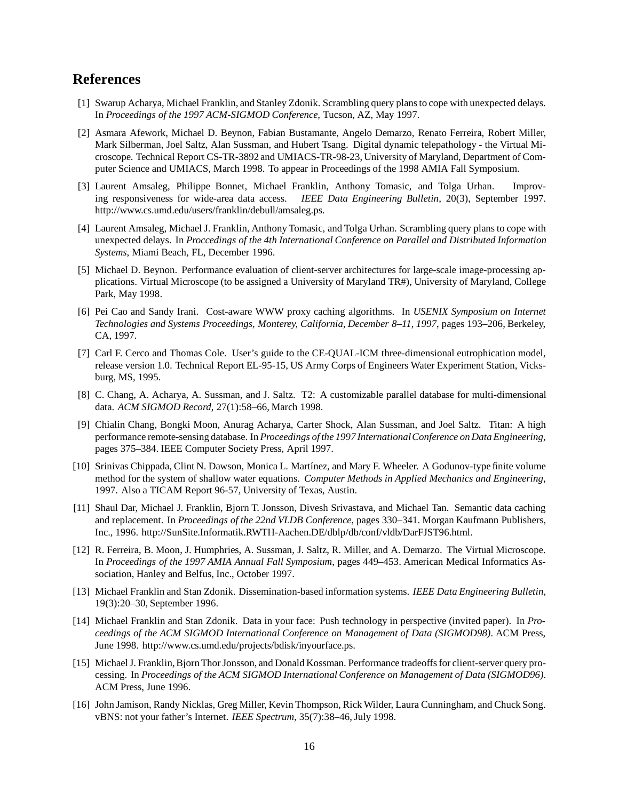# **References**

- [1] Swarup Acharya, Michael Franklin, and Stanley Zdonik. Scrambling query plans to cope with unexpected delays. In *Proceedings of the 1997 ACM-SIGMOD Conference*, Tucson, AZ, May 1997.
- [2] Asmara Afework, Michael D. Beynon, Fabian Bustamante, Angelo Demarzo, Renato Ferreira, Robert Miller, Mark Silberman, Joel Saltz, Alan Sussman, and Hubert Tsang. Digital dynamic telepathology - the Virtual Microscope. Technical Report CS-TR-3892 and UMIACS-TR-98-23, University of Maryland, Department of Computer Science and UMIACS, March 1998. To appear in Proceedings of the 1998 AMIA Fall Symposium.
- [3] Laurent Amsaleg, Philippe Bonnet, Michael Franklin, Anthony Tomasic, and Tolga Urhan. Improving responsiveness for wide-area data access. *IEEE Data Engineering Bulletin*, 20(3), September 1997. http://www.cs.umd.edu/users/franklin/debull/amsaleg.ps.
- [4] Laurent Amsaleg, Michael J. Franklin, Anthony Tomasic, and Tolga Urhan. Scrambling query plans to cope with unexpected delays. In *Proccedings of the 4th International Conference on Parallel and Distributed Information Systems*, Miami Beach, FL, December 1996.
- [5] Michael D. Beynon. Performance evaluation of client-server architectures for large-scale image-processing applications. Virtual Microscope (to be assigned a University of Maryland TR#), University of Maryland, College Park, May 1998.
- [6] Pei Cao and Sandy Irani. Cost-aware WWW proxy caching algorithms. In *USENIX Symposium on Internet Technologies and Systems Proceedings, Monterey, California, December 8–11, 1997*, pages 193–206, Berkeley, CA, 1997.
- [7] Carl F. Cerco and Thomas Cole. User's guide to the CE-QUAL-ICM three-dimensional eutrophication model, release version 1.0. Technical Report EL-95-15, US Army Corps of Engineers Water Experiment Station, Vicksburg, MS, 1995.
- [8] C. Chang, A. Acharya, A. Sussman, and J. Saltz. T2: A customizable parallel database for multi-dimensional data. *ACM SIGMOD Record*, 27(1):58–66, March 1998.
- [9] Chialin Chang, Bongki Moon, Anurag Acharya, Carter Shock, Alan Sussman, and Joel Saltz. Titan: A high performance remote-sensing database. In *Proceedings of the 1997 InternationalConference on Data Engineering*, pages 375–384. IEEE Computer Society Press, April 1997.
- [10] Srinivas Chippada, Clint N. Dawson, Monica L. Mart´ınez, and Mary F. Wheeler. A Godunov-type finite volume method for the system of shallow water equations. *Computer Methods in Applied Mechanics and Engineering*, 1997. Also a TICAM Report 96-57, University of Texas, Austin.
- [11] Shaul Dar, Michael J. Franklin, Bjorn T. Jonsson, Divesh Srivastava, and Michael Tan. Semantic data caching and replacement. In *Proceedings of the 22nd VLDB Conference*, pages 330–341. Morgan Kaufmann Publishers, Inc., 1996. http://SunSite.Informatik.RWTH-Aachen.DE/dblp/db/conf/vldb/DarFJST96.html.
- [12] R. Ferreira, B. Moon, J. Humphries, A. Sussman, J. Saltz, R. Miller, and A. Demarzo. The Virtual Microscope. In *Proceedings of the 1997 AMIA Annual Fall Symposium*, pages 449–453. American Medical Informatics Association, Hanley and Belfus, Inc., October 1997.
- [13] Michael Franklin and Stan Zdonik. Dissemination-based information systems. *IEEE Data Engineering Bulletin*, 19(3):20–30, September 1996.
- [14] Michael Franklin and Stan Zdonik. Data in your face: Push technology in perspective (invited paper). In *Proceedings of the ACM SIGMOD International Conference on Management of Data (SIGMOD98)*. ACM Press, June 1998. http://www.cs.umd.edu/projects/bdisk/inyourface.ps.
- [15] Michael J. Franklin, Bjorn Thor Jonsson, and Donald Kossman. Performance tradeoffs for client-server query processing. In *Proceedings of the ACM SIGMOD International Conference on Management of Data (SIGMOD96)*. ACM Press, June 1996.
- [16] John Jamison, Randy Nicklas, Greg Miller, Kevin Thompson, Rick Wilder, Laura Cunningham, and Chuck Song. vBNS: not your father's Internet. *IEEE Spectrum*, 35(7):38–46, July 1998.